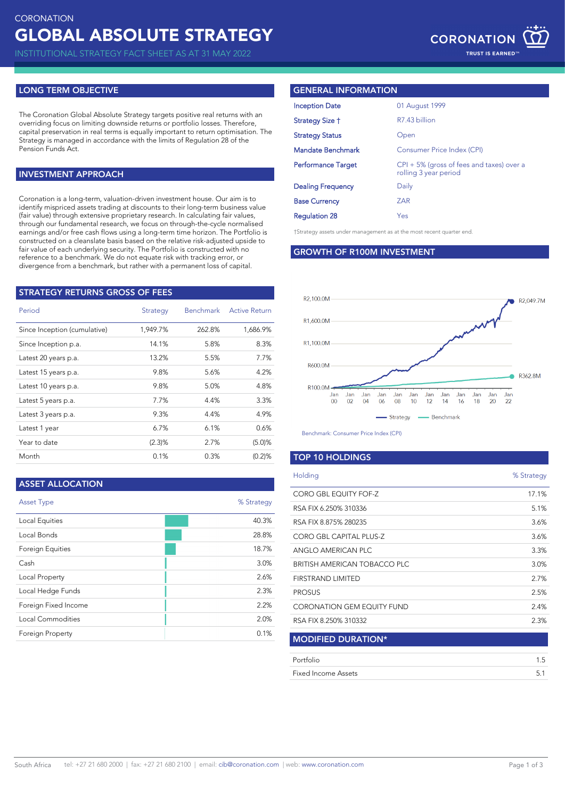INSTITUTIONAL STRATEGY FACT SHEET AS AT 31 MAY 2022

## **LONG TERM OBJECTIVE**

The Coronation Global Absolute Strategy targets positive real returns with an overriding focus on limiting downside returns or portfolio losses. Therefore, capital preservation in real terms is equally important to return optimisation. The Strategy is managed in accordance with the limits of Regulation 28 of the Pension Funds Act.

## **INVESTMENT APPROACH**

Coronation is a long-term, valuation-driven investment house. Our aim is to identify mispriced assets trading at discounts to their long-term business value (fair value) through extensive proprietary research. In calculating fair values, through our fundamental research, we focus on through-the-cycle normalised earnings and/or free cash flows using a long-term time horizon. The Portfolio is constructed on a cleanslate basis based on the relative risk-adjusted upside to fair value of each underlying security. The Portfolio is constructed with no reference to a benchmark. We do not equate risk with tracking error, or divergence from a benchmark, but rather with a permanent loss of capital.

| <b>STRATEGY RETURNS GROSS OF FEES</b> |          |           |                      |  |  |
|---------------------------------------|----------|-----------|----------------------|--|--|
| Period                                | Strategy | Benchmark | <b>Active Return</b> |  |  |
| Since Inception (cumulative)          | 1,949.7% | 262.8%    | 1,686.9%             |  |  |
| Since Inception p.a.                  | 14.1%    | 5.8%      | 8.3%                 |  |  |
| Latest 20 years p.a.                  | 13.2%    | 5.5%      | 7.7%                 |  |  |
| Latest 15 years p.a.                  | 9.8%     | 5.6%      | 4.2%                 |  |  |
| Latest 10 years p.a.                  | 9.8%     | 5.0%      | 4.8%                 |  |  |
| Latest 5 years p.a.                   | 7.7%     | 4.4%      | 3.3%                 |  |  |
| Latest 3 years p.a.                   | 9.3%     | 4.4%      | 4.9%                 |  |  |
| Latest 1 year                         | $6.7\%$  | 6.1%      | 0.6%                 |  |  |
| Year to date                          | (2.3)%   | 2.7%      | (5.0)%               |  |  |
| Month                                 | 0.1%     | 0.3%      | (0.2)%               |  |  |

## **ASSET ALLOCATION**

| <b>Asset Type</b>       | % Strategy |
|-------------------------|------------|
| Local Equities          | 40.3%      |
| Local Bonds             | 28.8%      |
| <b>Foreign Equities</b> | 18.7%      |
| Cash                    | 3.0%       |
| Local Property          | 2.6%       |
| Local Hedge Funds       | 2.3%       |
| Foreign Fixed Income    | 2.2%       |
| Local Commodities       | 2.0%       |
| <b>Foreign Property</b> | 0.1%       |

### **GENERAL INFORMATION**

| <b>Inception Date</b>     | 01 August 1999                                                        |
|---------------------------|-----------------------------------------------------------------------|
| Strategy Size †           | R7.43 billion                                                         |
| <b>Strategy Status</b>    | Open                                                                  |
| <b>Mandate Benchmark</b>  | Consumer Price Index (CPI)                                            |
| <b>Performance Target</b> | $CPI + 5\%$ (gross of fees and taxes) over a<br>rolling 3 year period |
| <b>Dealing Frequency</b>  | Daily                                                                 |
| <b>Base Currency</b>      | ZAR                                                                   |
| <b>Regulation 28</b>      | Yes                                                                   |

†Strategy assets under management as at the most recent quarter end.

#### **GROWTH OF R100M INVESTMENT**



Benchmark: Consumer Price Index (CPI)

## **TOP 10 HOLDINGS**

| Holding                             | % Strategy |
|-------------------------------------|------------|
| CORO GBL EQUITY FOF-Z               | 17.1%      |
| RSA FIX 6.250% 310336               | 5.1%       |
| RSA FIX 8.875% 280235               | 3.6%       |
| CORO GBL CAPITAL PLUS-Z             | 3.6%       |
| ANGLO AMERICAN PLC                  | 3.3%       |
| <b>BRITISH AMERICAN TOBACCO PLC</b> | 3.0%       |
| <b>FIRSTRAND LIMITED</b>            | 2.7%       |
| <b>PROSUS</b>                       | 2.5%       |
| CORONATION GEM EQUITY FUND          | 2.4%       |
| RSA FIX 8.250% 310332               | 2.3%       |
| <b>MODIFIED DURATION*</b>           |            |
| Portfolio                           | 1.5        |
| <b>Fixed Income Assets</b>          | 5.1        |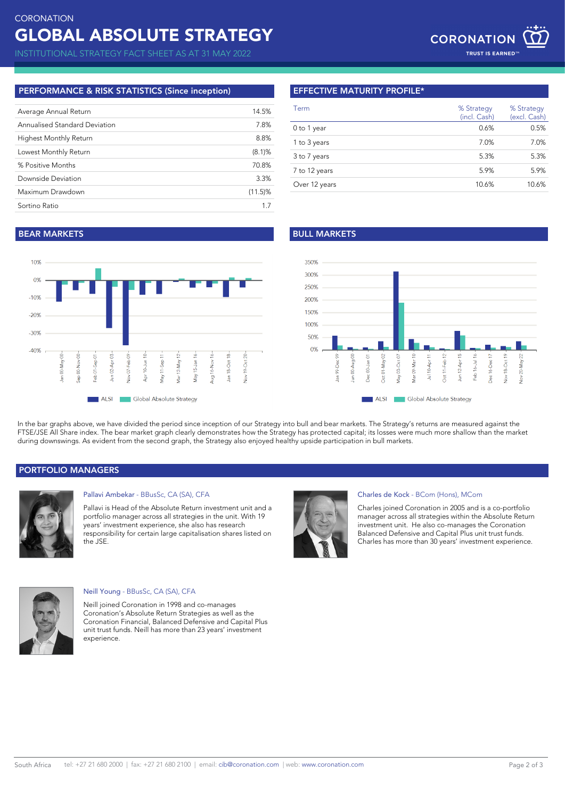## **PERFORMANCE & RISK STATISTICS (Since inception)**

| Average Annual Return         | 14.5%      |
|-------------------------------|------------|
| Annualised Standard Deviation | 7.8%       |
| Highest Monthly Return        | 8.8%       |
| Lowest Monthly Return         | $(8.1)$ %  |
| % Positive Months             | 70.8%      |
| Downside Deviation            | 3.3%       |
| Maximum Drawdown              | $(11.5)\%$ |
| Sortino Ratio                 | 17         |

## **EFFECTIVE MATURITY PROFILE\***

| Term          | % Strategy<br>(incl. Cash) | % Strategy<br>(excl. Cash) |
|---------------|----------------------------|----------------------------|
| 0 to 1 year   | 0.6%                       | 0.5%                       |
| 1 to 3 years  | 7.0%                       | 7.0%                       |
| 3 to 7 years  | 5.3%                       | 5.3%                       |
| 7 to 12 years | 5.9%                       | 5.9%                       |
| Over 12 years | 10.6%                      | 10.6%                      |

# **BEAR MARKETS BULL MARKETS**





In the bar graphs above, we have divided the period since inception of our Strategy into bull and bear markets. The Strategy's returns are measured against the FTSE/JSE All Share index. The bear market graph clearly demonstrates how the Strategy has protected capital; its losses were much more shallow than the market during downswings. As evident from the second graph, the Strategy also enjoyed healthy upside participation in bull markets.

## **PORTFOLIO MANAGERS**



## Pallavi Ambekar - BBusSc, CA (SA), CFA

Pallavi is Head of the Absolute Return investment unit and a portfolio manager across all strategies in the unit. With 19 years' investment experience, she also has research responsibility for certain large capitalisation shares listed on the JSE.



### Charles de Kock - BCom (Hons), MCom

Charles joined Coronation in 2005 and is a co-portfolio manager across all strategies within the Absolute Return investment unit. He also co-manages the Coronation Balanced Defensive and Capital Plus unit trust funds. Charles has more than 30 years' investment experience.



#### Neill Young - BBusSc, CA (SA), CFA

Neill joined Coronation in 1998 and co-manages Coronation's Absolute Return Strategies as well as the Coronation Financial, Balanced Defensive and Capital Plus unit trust funds. Neill has more than 23 years' investment experience.